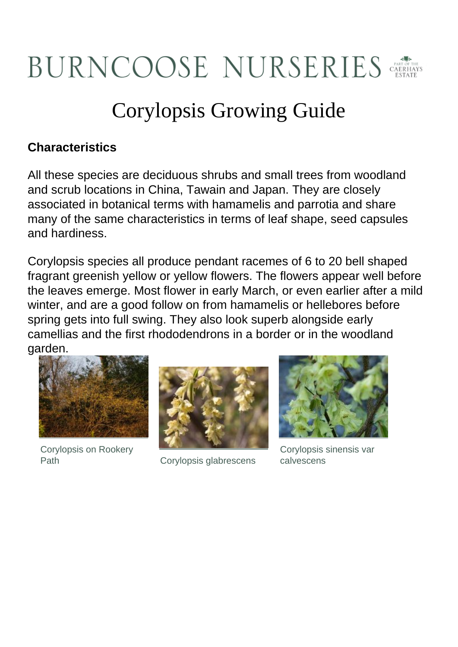# BURNCOOSE NURSERIES

# Corylopsis Growing Guide

# **Characteristics**

All these species are deciduous shrubs and small trees from woodland and scrub locations in China, Tawain and Japan. They are closely associated in botanical terms with hamamelis and parrotia and share many of the same characteristics in terms of leaf shape, seed capsules and hardiness.

Corylopsis species all produce pendant racemes of 6 to 20 bell shaped fragrant greenish yellow or yellow flowers. The flowers appear well before the leaves emerge. Most flower in early March, or even earlier after a mild winter, and are a good follow on from hamamelis or hellebores before spring gets into full swing. They also look superb alongside early camellias and the first rhododendrons in a border or in the woodland garden.



Corylopsis on Rookery



Path Corylopsis glabrescens



Corylopsis sinensis var calvescens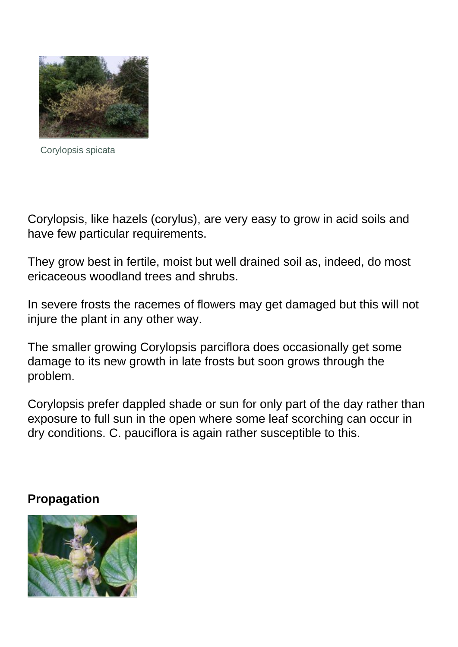

Corylopsis spicata

Corylopsis, like hazels (corylus), are very easy to grow in acid soils and have few particular requirements.

They grow best in fertile, moist but well drained soil as, indeed, do most ericaceous woodland trees and shrubs.

In severe frosts the racemes of flowers may get damaged but this will not injure the plant in any other way.

The smaller growing Corylopsis parciflora does occasionally get some damage to its new growth in late frosts but soon grows through the problem.

Corylopsis prefer dappled shade or sun for only part of the day rather than exposure to full sun in the open where some leaf scorching can occur in dry conditions. C. pauciflora is again rather susceptible to this.

#### **Propagation**

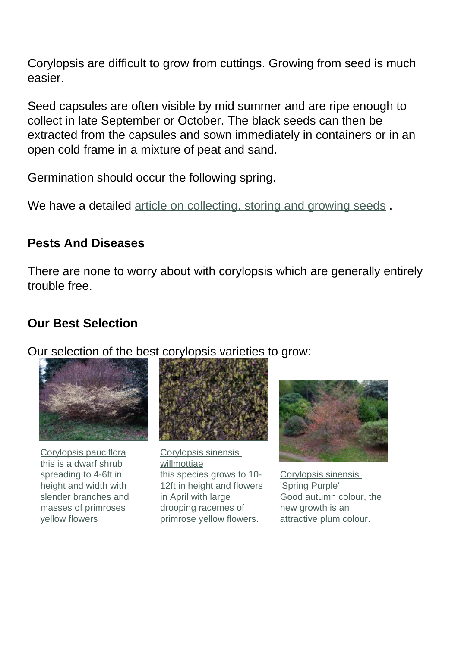Corylopsis are difficult to grow from cuttings. Growing from seed is much easier.

Seed capsules are often visible by mid summer and are ripe enough to collect in late September or October. The black seeds can then be extracted from the capsules and sown immediately in containers or in an open cold frame in a mixture of peat and sand.

Germination should occur the following spring.

We have a detailed article on collecting, storing and growing seeds.

# **Pests And Diseases**

There are none to worry about with corylopsis which are generally entirely trouble free.

# **Our Best Selection**

Our selection of the best corylopsis varieties to grow:



[Corylopsis pauciflora](plants.cfm?pl_id=1337) this is a dwarf shrub spreading to 4-6ft in height and width with slender branches and masses of primroses yellow flowers



[Corylopsis sinensis](plants.cfm?pl_id=5575)  [willmottiae](plants.cfm?pl_id=5575) this species grows to 10- 12ft in height and flowers in April with large drooping racemes of primrose yellow flowers.



[Corylopsis sinensis](plants.cfm?pl_id=1341)  ['Spring Purple'](plants.cfm?pl_id=1341)  Good autumn colour, the new growth is an attractive plum colour.